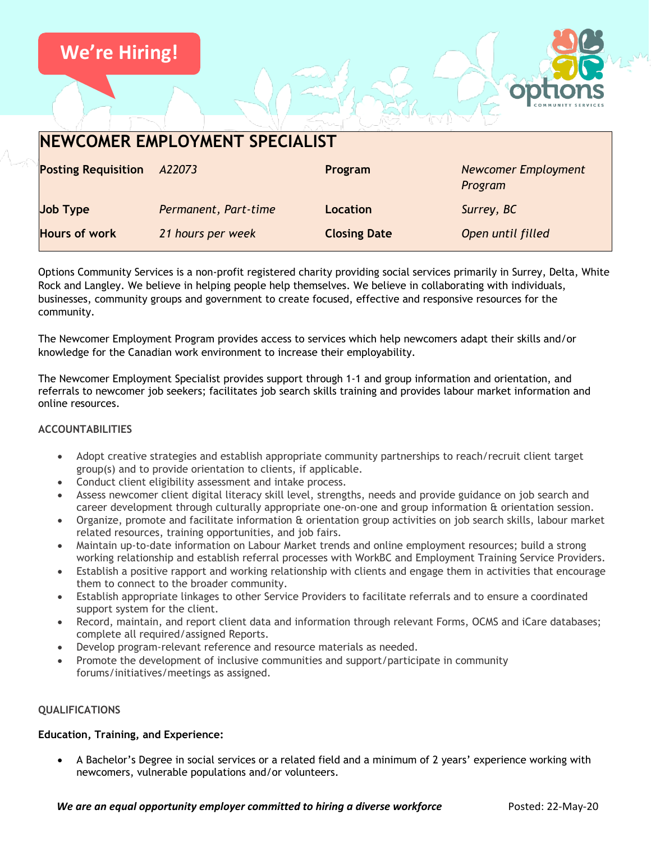

| <b>Posting Requisition</b> | A22073               | Program             | <b>Newcomer Employment</b><br>Program |
|----------------------------|----------------------|---------------------|---------------------------------------|
| Job Type                   | Permanent, Part-time | <b>Location</b>     | Surrey, BC                            |
| <b>Hours of work</b>       | 21 hours per week    | <b>Closing Date</b> | Open until filled                     |

Options Community Services is a non-profit registered charity providing social services primarily in Surrey, Delta, White Rock and Langley. We believe in helping people help themselves. We believe in collaborating with individuals, businesses, community groups and government to create focused, effective and responsive resources for the community.

The Newcomer Employment Program provides access to services which help newcomers adapt their skills and/or knowledge for the Canadian work environment to increase their employability.

The Newcomer Employment Specialist provides support through 1-1 and group information and orientation, and referrals to newcomer job seekers; facilitates job search skills training and provides labour market information and online resources.

### **ACCOUNTABILITIES**

- Adopt creative strategies and establish appropriate community partnerships to reach/recruit client target group(s) and to provide orientation to clients, if applicable.
- Conduct client eligibility assessment and intake process.
- Assess newcomer client digital literacy skill level, strengths, needs and provide guidance on job search and career development through culturally appropriate one-on-one and group information & orientation session.
- Organize, promote and facilitate information & orientation group activities on job search skills, labour market related resources, training opportunities, and job fairs.
- Maintain up-to-date information on Labour Market trends and online employment resources; build a strong working relationship and establish referral processes with WorkBC and Employment Training Service Providers.
- Establish a positive rapport and working relationship with clients and engage them in activities that encourage them to connect to the broader community.
- Establish appropriate linkages to other Service Providers to facilitate referrals and to ensure a coordinated support system for the client.
- Record, maintain, and report client data and information through relevant Forms, OCMS and iCare databases; complete all required/assigned Reports.
- Develop program-relevant reference and resource materials as needed.
- Promote the development of inclusive communities and support/participate in community forums/initiatives/meetings as assigned.

#### **QUALIFICATIONS**

#### **Education, Training, and Experience:**

• A Bachelor's Degree in social services or a related field and a minimum of 2 years' experience working with newcomers, vulnerable populations and/or volunteers.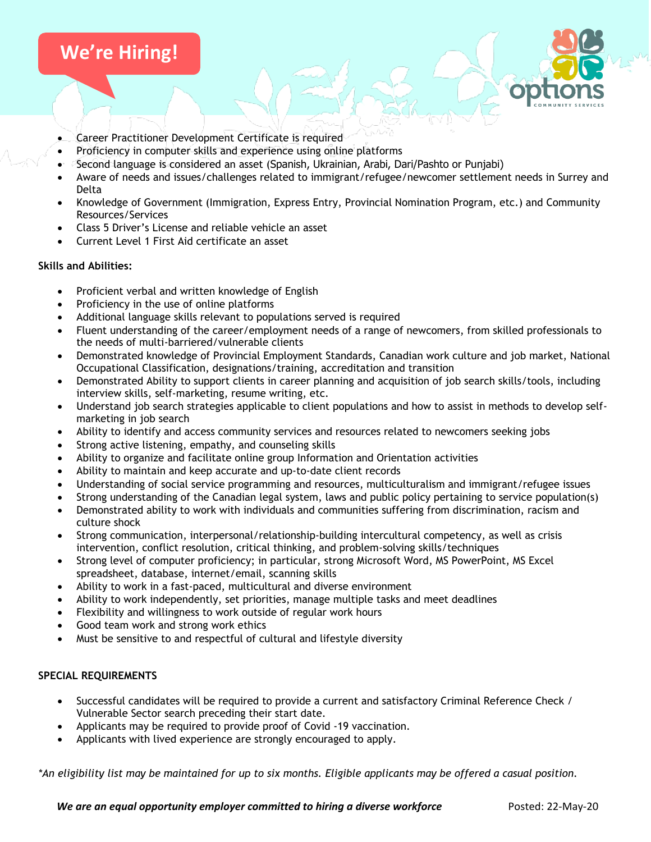## **We're Hiring!**

- Career Practitioner Development Certificate is required
- Proficiency in computer skills and experience using online platforms
- Second language is considered an asset (Spanish, Ukrainian, Arabi, Dari/Pashto or Punjabi)
- Aware of needs and issues/challenges related to immigrant/refugee/newcomer settlement needs in Surrey and Delta
- Knowledge of Government (Immigration, Express Entry, Provincial Nomination Program, etc.) and Community Resources/Services
- Class 5 Driver's License and reliable vehicle an asset
- Current Level 1 First Aid certificate an asset

#### **Skills and Abilities:**

- Proficient verbal and written knowledge of English
- Proficiency in the use of online platforms
- Additional language skills relevant to populations served is required
- Fluent understanding of the career/employment needs of a range of newcomers, from skilled professionals to the needs of multi-barriered/vulnerable clients
- Demonstrated knowledge of Provincial Employment Standards, Canadian work culture and job market, National Occupational Classification, designations/training, accreditation and transition
- Demonstrated Ability to support clients in career planning and acquisition of job search skills/tools, including interview skills, self-marketing, resume writing, etc.
- Understand job search strategies applicable to client populations and how to assist in methods to develop selfmarketing in job search
- Ability to identify and access community services and resources related to newcomers seeking jobs
- Strong active listening, empathy, and counseling skills
- Ability to organize and facilitate online group Information and Orientation activities
- Ability to maintain and keep accurate and up-to-date client records
- Understanding of social service programming and resources, multiculturalism and immigrant/refugee issues
- Strong understanding of the Canadian legal system, laws and public policy pertaining to service population(s)
- Demonstrated ability to work with individuals and communities suffering from discrimination, racism and culture shock
- Strong communication, interpersonal/relationship-building intercultural competency, as well as crisis intervention, conflict resolution, critical thinking, and problem-solving skills/techniques
- Strong level of computer proficiency; in particular, strong Microsoft Word, MS PowerPoint, MS Excel spreadsheet, database, internet/email, scanning skills
- Ability to work in a fast-paced, multicultural and diverse environment
- Ability to work independently, set priorities, manage multiple tasks and meet deadlines
- Flexibility and willingness to work outside of regular work hours
- Good team work and strong work ethics
- Must be sensitive to and respectful of cultural and lifestyle diversity

#### **SPECIAL REQUIREMENTS**

- Successful candidates will be required to provide a current and satisfactory Criminal Reference Check / Vulnerable Sector search preceding their start date.
- Applicants may be required to provide proof of Covid -19 vaccination.
- Applicants with lived experience are strongly encouraged to apply.

*\*An eligibility list may be maintained for up to six months. Eligible applicants may be offered a casual position.*